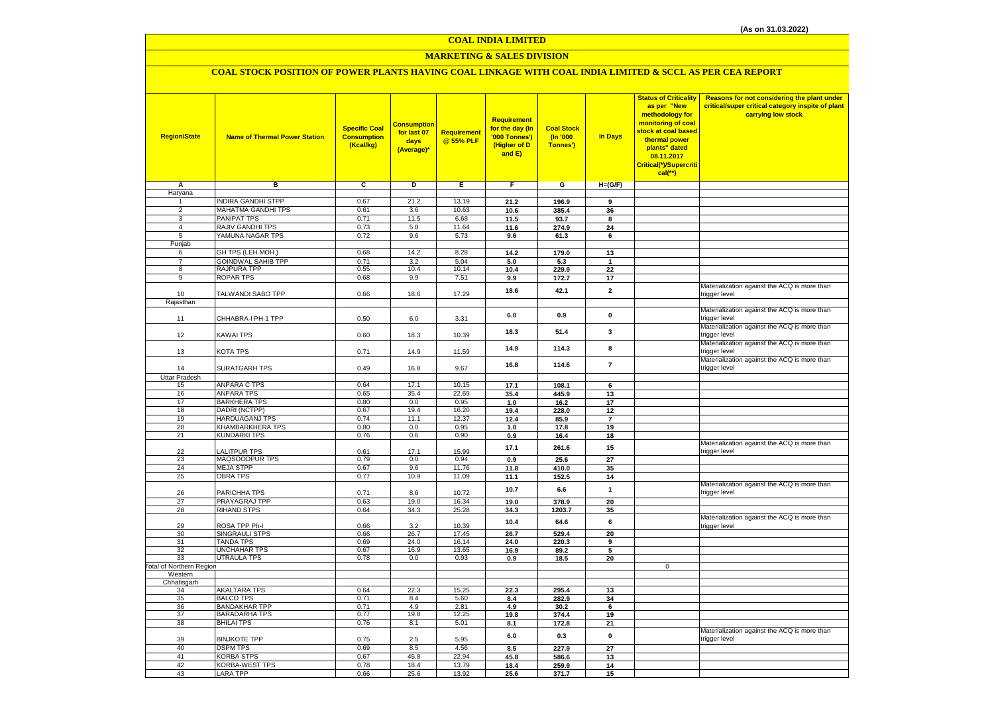# **MARKETING & SALES DIVISION**

# **COAL STOCK POSITION OF POWER PLANTS HAVING COAL LINKAGE WITH COAL INDIA LIMITED & SCCL AS PER CEA REPORT**

| <b>Region/State</b>              | <b>Name of Thermal Power Station</b>      | <b>Specific Coal</b><br><b>Consumption</b><br>(Kcal/kg) | Consumption<br>for last 07<br>days<br>(Average)* | Requirement<br>@ 55% PLF | Requirement<br>for the day (In<br>'000 Tonnes')<br>(Higher of D<br>and E) | <b>Coal Stock</b><br>(n'000)<br>Tonnes') | In Days        | <b>Status of Criticality</b><br>as per "New<br>methodology for<br>monitoring of coal<br>stock at coal based<br>thermal power<br>plants" dated<br>08.11.2017<br>Critical(*)/Supercriti<br>$cal$ (**) | Reasons for not considering the plant under<br>critical/super critical category inspite of plant<br>carrying low stock |
|----------------------------------|-------------------------------------------|---------------------------------------------------------|--------------------------------------------------|--------------------------|---------------------------------------------------------------------------|------------------------------------------|----------------|-----------------------------------------------------------------------------------------------------------------------------------------------------------------------------------------------------|------------------------------------------------------------------------------------------------------------------------|
| Α                                | в                                         | c                                                       | D                                                | Е                        | F.                                                                        | G                                        | $H=(G/F)$      |                                                                                                                                                                                                     |                                                                                                                        |
| Haryana                          |                                           |                                                         |                                                  |                          |                                                                           |                                          |                |                                                                                                                                                                                                     |                                                                                                                        |
| 1                                | <b>INDIRA GANDHI STPP</b>                 | 0.67                                                    | 21.2                                             | 13.19                    | 21.2                                                                      | 196.9                                    | 9              |                                                                                                                                                                                                     |                                                                                                                        |
| $\overline{2}$                   | MAHATMA GANDHI TPS                        | 0.61                                                    | 3.6                                              | 10.63                    | 10.6                                                                      | 385.4                                    | 36             |                                                                                                                                                                                                     |                                                                                                                        |
| $\overline{3}$<br>$\overline{4}$ | PANIPAT TPS<br>RAJIV GANDHI TPS           | 0.71<br>0.73                                            | 11.5<br>5.8                                      | 6.68<br>11.64            | 11.5                                                                      | 93.7                                     | 8              |                                                                                                                                                                                                     |                                                                                                                        |
| 5                                | YAMUNA NAGAR TPS                          | 0.72                                                    | 9.6                                              | 5.73                     | 11.6                                                                      | 274.9                                    | 24<br>6        |                                                                                                                                                                                                     |                                                                                                                        |
| Punjab                           |                                           |                                                         |                                                  |                          | 9.6                                                                       | 61.3                                     |                |                                                                                                                                                                                                     |                                                                                                                        |
| 6                                | GH TPS (LEH.MOH.)                         | 0.68                                                    | 14.2                                             | 8.28                     | 14.2                                                                      | 179.0                                    | 13             |                                                                                                                                                                                                     |                                                                                                                        |
| $\overline{7}$                   | <b>GOINDWAL SAHIB TPP</b>                 | 0.71                                                    | 3.2                                              | 5.04                     | 5.0                                                                       | 5.3                                      | $\mathbf{1}$   |                                                                                                                                                                                                     |                                                                                                                        |
| 8                                | RAJPURA TPP                               | 0.55                                                    | 10.4                                             | 10.14                    | 10.4                                                                      | 229.9                                    | 22             |                                                                                                                                                                                                     |                                                                                                                        |
| $\overline{9}$                   | <b>ROPAR TPS</b>                          | 0.68                                                    | 9.9                                              | 7.51                     | 9.9                                                                       | 172.7                                    | 17             |                                                                                                                                                                                                     |                                                                                                                        |
|                                  |                                           |                                                         |                                                  |                          | 18.6                                                                      | 42.1                                     | $\mathbf{2}$   |                                                                                                                                                                                                     | Materialization against the ACQ is more than                                                                           |
| 10                               | TALWANDI SABO TPP                         | 0.66                                                    | 18.6                                             | 17.29                    |                                                                           |                                          |                |                                                                                                                                                                                                     | trigger level                                                                                                          |
| Rajasthan                        |                                           |                                                         |                                                  |                          |                                                                           |                                          |                |                                                                                                                                                                                                     | Materialization against the ACQ is more than                                                                           |
|                                  | CHHABRA-I PH-1 TPP                        | 0.50                                                    | 6.0                                              |                          | 6.0                                                                       | 0.9                                      | $\mathbf 0$    |                                                                                                                                                                                                     | trigger level                                                                                                          |
| 11                               |                                           |                                                         |                                                  | 3.31                     |                                                                           |                                          |                |                                                                                                                                                                                                     | Materialization against the ACQ is more than                                                                           |
| 12                               | KAWAI TPS                                 | 0.60                                                    | 18.3                                             | 10.39                    | 18.3                                                                      | 51.4                                     | 3              |                                                                                                                                                                                                     | trigger level                                                                                                          |
|                                  |                                           |                                                         |                                                  |                          |                                                                           |                                          |                |                                                                                                                                                                                                     | Materialization against the ACQ is more than                                                                           |
| 13                               | KOTA TPS                                  | 0.71                                                    | 14.9                                             | 11.59                    | 14.9                                                                      | 114.3                                    | 8              |                                                                                                                                                                                                     | trigger level                                                                                                          |
|                                  |                                           |                                                         |                                                  |                          | 16.8                                                                      | 114.6                                    | $\overline{7}$ |                                                                                                                                                                                                     | Materialization against the ACQ is more than                                                                           |
| 14                               | <b>SURATGARH TPS</b>                      | 0.49                                                    | 16.8                                             | 9.67                     |                                                                           |                                          |                |                                                                                                                                                                                                     | trigger level                                                                                                          |
| <b>Uttar Pradesh</b>             |                                           |                                                         |                                                  |                          |                                                                           |                                          |                |                                                                                                                                                                                                     |                                                                                                                        |
| 15                               | <b>ANPARA C TPS</b>                       | 0.64                                                    | 17.1                                             | 10.15                    | 17.1                                                                      | 108.1                                    | 6              |                                                                                                                                                                                                     |                                                                                                                        |
| 16                               | <b>ANPARA TPS</b>                         | 0.65                                                    | 35.4                                             | 22.69                    | 35.4                                                                      | 445.9                                    | 13             |                                                                                                                                                                                                     |                                                                                                                        |
| 17<br>18                         | <b>BARKHERA TPS</b><br>DADRI (NCTPP)      | 0.80<br>0.67                                            | 0.0<br>19.4                                      | 0.95<br>16.20            | 1.0<br>19.4                                                               | 16.2<br>228.0                            | 17<br>12       |                                                                                                                                                                                                     |                                                                                                                        |
| 19                               | HARDUAGANJ TPS                            | 0.74                                                    | 11.1                                             | 12.37                    | 12.4                                                                      | 85.9                                     | $\overline{7}$ |                                                                                                                                                                                                     |                                                                                                                        |
| 20                               | KHAMBARKHERA TPS                          | 0.80                                                    | 0.0                                              | 0.95                     | 1.0                                                                       | 17.8                                     | 19             |                                                                                                                                                                                                     |                                                                                                                        |
| 21                               | <b>KUNDARKI TPS</b>                       | 0.76                                                    | 0.6                                              | 0.90                     | 0.9                                                                       | 16.4                                     | 18             |                                                                                                                                                                                                     |                                                                                                                        |
|                                  |                                           |                                                         |                                                  |                          | 17.1                                                                      | 261.6                                    | 15             |                                                                                                                                                                                                     | Materialization against the ACQ is more than                                                                           |
| 22                               | <b>ALITPUR TPS</b>                        | 0.61                                                    | 17.1                                             | 15.99                    |                                                                           |                                          |                |                                                                                                                                                                                                     | trigger level                                                                                                          |
| 23                               | MAQSOODPUR TPS                            | 0.79                                                    | 0.0                                              | 0.94                     | 0.9                                                                       | 25.6                                     | 27             |                                                                                                                                                                                                     |                                                                                                                        |
| 24                               | <b>MEJA STPP</b>                          | 0.67                                                    | 9.6                                              | 11.76                    | 11.8                                                                      | 410.0                                    | 35             |                                                                                                                                                                                                     |                                                                                                                        |
| 25                               | <b>OBRA TPS</b>                           | 0.77                                                    | 10.9                                             | 11.09                    | 11.1                                                                      | 152.5                                    | 14             |                                                                                                                                                                                                     | Materialization against the ACQ is more than                                                                           |
| 26                               | PARICHHA TPS                              | 0.71                                                    | 8.6                                              | 10.72                    | 10.7                                                                      | 6.6                                      | $\mathbf{1}$   |                                                                                                                                                                                                     | trigger level                                                                                                          |
| 27                               | PRAYAGRAJ TPP                             | 0.63                                                    | 19.0                                             | 16.34                    | 19.0                                                                      | 378.9                                    | 20             |                                                                                                                                                                                                     |                                                                                                                        |
| 28                               | <b>RIHAND STPS</b>                        | 0.64                                                    | 34.3                                             | 25.28                    | 34.3                                                                      | 1203.7                                   | 35             |                                                                                                                                                                                                     |                                                                                                                        |
|                                  |                                           |                                                         |                                                  |                          |                                                                           | 64.6                                     | 6              |                                                                                                                                                                                                     | Materialization against the ACQ is more than                                                                           |
| 29                               | ROSA TPP Ph-I                             | 0.66                                                    | 3.2                                              | 10.39                    | 10.4                                                                      |                                          |                |                                                                                                                                                                                                     | trigger level                                                                                                          |
| 30                               | SINGRAULI STPS                            | 0.66                                                    | 26.7                                             | 17.45                    | 26.7                                                                      | 529.4                                    | 20             |                                                                                                                                                                                                     |                                                                                                                        |
| 31                               | <b>TANDA TPS</b><br>UNCHAHAR TPS          | 0.69                                                    | 24.0                                             | 16.14                    | 24.0                                                                      | 220.3                                    | 9              |                                                                                                                                                                                                     |                                                                                                                        |
| 32<br>33                         | <b>UTRAULA TPS</b>                        | 0.67<br>0.78                                            | 16.9<br>0.0                                      | 13.65<br>0.93            | 16.9<br>0.9                                                               | 89.2<br>18.5                             | 5<br>20        |                                                                                                                                                                                                     |                                                                                                                        |
| Total of Northern Region         |                                           |                                                         |                                                  |                          |                                                                           |                                          |                | $\mathbf 0$                                                                                                                                                                                         |                                                                                                                        |
| Western                          |                                           |                                                         |                                                  |                          |                                                                           |                                          |                |                                                                                                                                                                                                     |                                                                                                                        |
| Chhatisgarh                      |                                           |                                                         |                                                  |                          |                                                                           |                                          |                |                                                                                                                                                                                                     |                                                                                                                        |
| 34                               | <b>AKALTARA TPS</b>                       | 0.64                                                    | 22.3                                             | 15.25                    | 22.3                                                                      | 295.4                                    | 13             |                                                                                                                                                                                                     |                                                                                                                        |
| 35                               | <b>BALCO TPS</b>                          | 0.71                                                    | 8.4                                              | 5.60                     | 8.4                                                                       | 282.9                                    | 34             |                                                                                                                                                                                                     |                                                                                                                        |
| 36                               | <b>BANDAKHAR TPP</b>                      | 0.71                                                    | 4.9                                              | 2.81                     | 4.9                                                                       | 30.2                                     | 6              |                                                                                                                                                                                                     |                                                                                                                        |
| 37<br>38                         | <b>BARADARHA TPS</b><br><b>BHILAI TPS</b> | 0.77<br>0.76                                            | 19.8<br>8.1                                      | 12.25                    | 19.8                                                                      | 374.4                                    | 19             |                                                                                                                                                                                                     |                                                                                                                        |
|                                  |                                           |                                                         |                                                  | 5.01                     | 8.1                                                                       | 172.8                                    | 21             |                                                                                                                                                                                                     | Materialization against the ACQ is more than                                                                           |
| 39                               | <b>BINJKOTE TPP</b>                       | 0.75                                                    | 2.5                                              | 5.95                     | 6.0                                                                       | 0.3                                      | 0              |                                                                                                                                                                                                     | trigger level                                                                                                          |
| 40                               | <b>DSPM TPS</b>                           | 0.69                                                    | $8.5\,$                                          | 4.56                     | 8.5                                                                       | 227.9                                    | 27             |                                                                                                                                                                                                     |                                                                                                                        |
| 41                               | <b>KORBA STPS</b>                         | 0.67                                                    | 45.8                                             | 22.94                    | 45.8                                                                      | 586.6                                    | 13             |                                                                                                                                                                                                     |                                                                                                                        |
| 42                               | KORBA-WEST TPS                            | 0.78                                                    | 18.4                                             | 13.79                    | 18.4                                                                      | 259.9                                    | 14             |                                                                                                                                                                                                     |                                                                                                                        |
| 43                               | LARA TPP                                  | 0.66                                                    | 25.6                                             | 13.92                    | 25.6                                                                      | 371.7                                    | 15             |                                                                                                                                                                                                     |                                                                                                                        |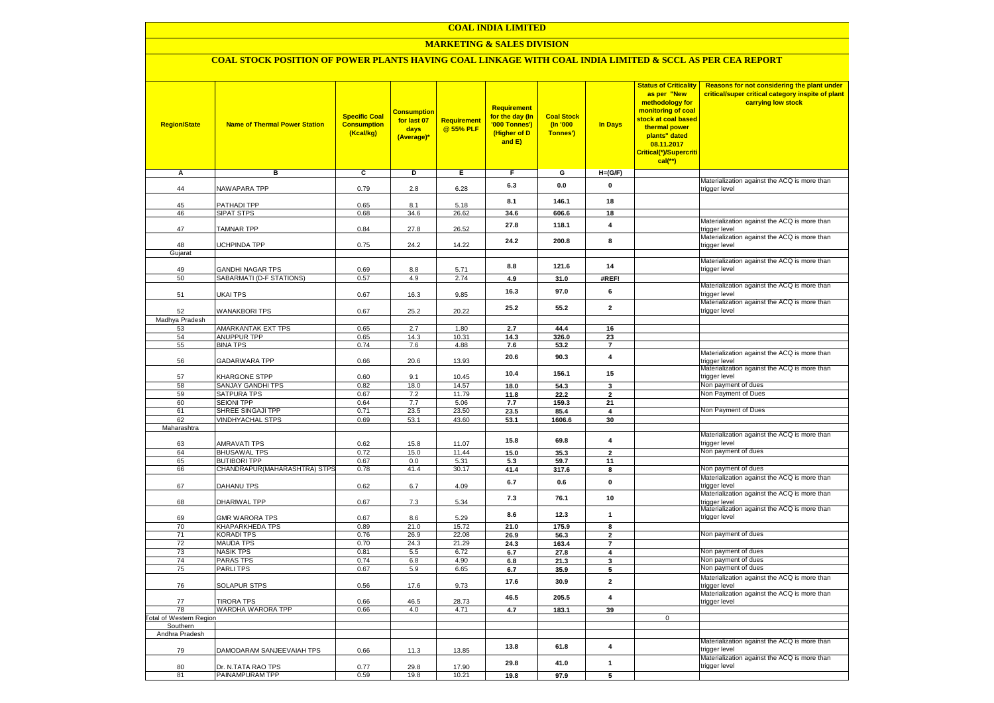### **MARKETING & SALES DIVISION**

### **COAL STOCK POSITION OF POWER PLANTS HAVING COAL LINKAGE WITH COAL INDIA LIMITED & SCCL AS PER CEA REPORT**

| <b>Region/State</b>    | <b>Name of Thermal Power Station</b>         | <b>Specific Coal</b><br><b>Consumption</b><br>(Kcal/kg) | <mark>Consumption</mark><br>for last 07<br>days<br>(Average)* | <b>Requirement</b><br>@ 55% PLF | <b>Requirement</b><br>for the day (In<br>'000 Tonnes')<br>(Higher of D<br>and E) | <b>Coal Stock</b><br>(In '000<br>Tonnes') | <b>In Days</b>          | <b>Status of Criticality</b><br>as per "New<br>methodology for<br>monitoring of coal<br>stock at coal based<br>thermal power<br>plants" dated<br>08.11.2017<br>Critical(*)/Supercriti<br>$cal$ (**) | Reasons for not considering the plant under<br>critical/super critical category inspite of plant<br>carrying low stock |
|------------------------|----------------------------------------------|---------------------------------------------------------|---------------------------------------------------------------|---------------------------------|----------------------------------------------------------------------------------|-------------------------------------------|-------------------------|-----------------------------------------------------------------------------------------------------------------------------------------------------------------------------------------------------|------------------------------------------------------------------------------------------------------------------------|
| А                      | в                                            | c                                                       | Þ                                                             | Е                               | F                                                                                | G                                         | $H=(G/F)$               |                                                                                                                                                                                                     |                                                                                                                        |
|                        |                                              |                                                         |                                                               |                                 | 6.3                                                                              | 0.0                                       | 0                       |                                                                                                                                                                                                     | Materialization against the ACQ is more than                                                                           |
| 44                     | <b>NAWAPARA TPP</b>                          | 0.79                                                    | 2.8                                                           | 6.28                            |                                                                                  |                                           |                         |                                                                                                                                                                                                     | trigger level                                                                                                          |
| 45                     | <b>PATHADI TPP</b>                           | 0.65                                                    | 8.1                                                           | 5.18                            | 8.1                                                                              | 146.1                                     | 18                      |                                                                                                                                                                                                     |                                                                                                                        |
| 46                     | SIPAT STPS                                   | 0.68                                                    | 34.6                                                          | 26.62                           | 34.6                                                                             | 606.6                                     | 18                      |                                                                                                                                                                                                     |                                                                                                                        |
| 47                     | <b>TAMNAR TPP</b>                            | 0.84                                                    | 27.8                                                          | 26.52                           | 27.8                                                                             | 118.1                                     | 4                       |                                                                                                                                                                                                     | Materialization against the ACQ is more than<br>trigger level                                                          |
|                        |                                              |                                                         |                                                               |                                 | 24.2                                                                             | 200.8                                     | 8                       |                                                                                                                                                                                                     | Materialization against the ACQ is more than                                                                           |
| 48<br>Gujarat          | <b>JCHPINDA TPP</b>                          | 0.75                                                    | 24.2                                                          | 14.22                           |                                                                                  |                                           |                         |                                                                                                                                                                                                     | trigger level                                                                                                          |
|                        |                                              |                                                         |                                                               |                                 |                                                                                  |                                           |                         |                                                                                                                                                                                                     | Materialization against the ACQ is more than                                                                           |
| 49                     | <b>GANDHI NAGAR TPS</b>                      | 0.69                                                    | 8.8                                                           | 5.71                            | 8.8                                                                              | 121.6                                     | 14                      |                                                                                                                                                                                                     | trigger level                                                                                                          |
| 50                     | SABARMATI (D-F STATIONS)                     | 0.57                                                    | 4.9                                                           | 2.74                            | 4.9                                                                              | 31.0                                      | #REF!                   |                                                                                                                                                                                                     |                                                                                                                        |
| 51                     | UKAI TPS                                     | 0.67                                                    | 16.3                                                          | 9.85                            | 16.3                                                                             | 97.0                                      | 6                       |                                                                                                                                                                                                     | Materialization against the ACQ is more than<br>trigger level                                                          |
| 52                     | <b>WANAKBORI TPS</b>                         | 0.67                                                    | 25.2                                                          | 20.22                           | 25.2                                                                             | 55.2                                      | $\mathbf{2}$            |                                                                                                                                                                                                     | Materialization against the ACQ is more than<br>trigger level                                                          |
| Madhya Pradesh         |                                              |                                                         |                                                               |                                 |                                                                                  |                                           |                         |                                                                                                                                                                                                     |                                                                                                                        |
| 53                     | AMARKANTAK EXT TPS                           | 0.65                                                    | 2.7                                                           | 1.80                            | 2.7                                                                              | 44.4                                      | 16                      |                                                                                                                                                                                                     |                                                                                                                        |
| 54<br>55               | <b>ANUPPUR TPP</b><br><b>BINA TPS</b>        | 0.65<br>0.74                                            | 14.3<br>7.6                                                   | 10.31<br>4.88                   | 14.3<br>7.6                                                                      | 326.0<br>53.2                             | 23<br>$\overline{7}$    |                                                                                                                                                                                                     |                                                                                                                        |
|                        |                                              |                                                         |                                                               |                                 |                                                                                  |                                           |                         |                                                                                                                                                                                                     | Materialization against the ACQ is more than                                                                           |
| 56                     | GADARWARA TPP                                | 0.66                                                    | 20.6                                                          | 13.93                           | 20.6                                                                             | 90.3                                      | $\overline{\mathbf{4}}$ |                                                                                                                                                                                                     | trigger level<br>Materialization against the ACQ is more than                                                          |
| 57                     | KHARGONE STPP                                | 0.60                                                    | 9.1                                                           | 10.45                           | 10.4                                                                             | 156.1                                     | 15                      |                                                                                                                                                                                                     | trigger level                                                                                                          |
| 58                     | SANJAY GANDHI TPS                            | 0.82                                                    | 18.0                                                          | 14.57                           | 18.0                                                                             | 54.3                                      | 3                       |                                                                                                                                                                                                     | Non payment of dues                                                                                                    |
| 59                     | SATPURA TPS                                  | 0.67                                                    | 7.2                                                           | 11.79                           | 11.8                                                                             | 22.2                                      | $\overline{2}$          |                                                                                                                                                                                                     | Non Payment of Dues                                                                                                    |
| 60                     | <b>SEIONI TPP</b>                            | 0.64                                                    | 7.7                                                           | 5.06                            | 7.7                                                                              | 159.3                                     | 21                      |                                                                                                                                                                                                     |                                                                                                                        |
| 61                     | SHREE SINGAJI TPP<br><b>VINDHYACHAL STPS</b> | 0.71<br>0.69                                            | 23.5                                                          | 23.50<br>43.60                  | 23.5                                                                             | 85.4                                      | $\overline{\mathbf{4}}$ |                                                                                                                                                                                                     | Non Payment of Dues                                                                                                    |
| 62<br>Maharashtra      |                                              |                                                         | 53.1                                                          |                                 | 53.1                                                                             | 1606.6                                    | 30                      |                                                                                                                                                                                                     |                                                                                                                        |
|                        |                                              |                                                         |                                                               |                                 |                                                                                  |                                           |                         |                                                                                                                                                                                                     | Materialization against the ACQ is more than                                                                           |
| 63                     | AMRAVATI TPS                                 | 0.62                                                    | 15.8                                                          | 11.07                           | 15.8                                                                             | 69.8                                      | $\overline{\mathbf{4}}$ |                                                                                                                                                                                                     | trigger level                                                                                                          |
| 64                     | <b>BHUSAWAL TPS</b>                          | 0.72                                                    | 15.0                                                          | 11.44                           | 15.0                                                                             | 35.3                                      | $\overline{2}$          |                                                                                                                                                                                                     | Non payment of dues                                                                                                    |
| 65                     | <b>BUTIBORI TPP</b>                          | 0.67                                                    | 0.0                                                           | 5.31                            | 5.3                                                                              | 59.7                                      | 11                      |                                                                                                                                                                                                     |                                                                                                                        |
| 66                     | CHANDRAPUR(MAHARASHTRA) STPS                 | 0.78                                                    | 41.4                                                          | 30.17                           | 41.4                                                                             | 317.6                                     | 8                       |                                                                                                                                                                                                     | Non payment of dues                                                                                                    |
| 67                     | DAHANU TPS                                   | 0.62                                                    | $6.7\,$                                                       | 4.09                            | 6.7                                                                              | 0.6                                       | $\pmb{0}$               |                                                                                                                                                                                                     | Materialization against the ACQ is more than<br>trigger level                                                          |
| 68                     | DHARIWAL TPP                                 | 0.67                                                    | 7.3                                                           | 5.34                            | 7.3                                                                              | 76.1                                      | 10                      |                                                                                                                                                                                                     | Materialization against the ACQ is more than<br>trigger level                                                          |
| 69                     | <b>GMR WARORA TPS</b>                        | 0.67                                                    | 8.6                                                           | 5.29                            | 8.6                                                                              | 12.3                                      | $\mathbf{1}$            |                                                                                                                                                                                                     | Materialization against the ACQ is more than<br>trigger level                                                          |
| 70                     | KHAPARKHEDA TPS                              | 0.89                                                    | 21.0                                                          | 15.72                           | 21.0                                                                             | 175.9                                     | 8                       |                                                                                                                                                                                                     |                                                                                                                        |
| 71                     | KORADI TPS                                   | 0.76                                                    | 26.9                                                          | 22.08                           | 26.9                                                                             | 56.3                                      | $\mathbf{2}$            |                                                                                                                                                                                                     | Non payment of dues                                                                                                    |
| 72<br>73               | <b>MAUDA TPS</b><br><b>NASIK TPS</b>         | 0.70<br>0.81                                            | 24.3<br>5.5                                                   | 21.29<br>6.72                   | 24.3                                                                             | 163.4                                     | $\overline{7}$          |                                                                                                                                                                                                     | Non payment of dues                                                                                                    |
| 74                     | PARAS TPS                                    | 0.74                                                    | 6.8                                                           | 4.90                            | 6.7<br>6.8                                                                       | 27.8<br>21.3                              | 4<br>3                  |                                                                                                                                                                                                     | Non payment of dues                                                                                                    |
| 75                     | <b>PARLITPS</b>                              | 0.67                                                    | 5.9                                                           | 6.65                            | 6.7                                                                              | 35.9                                      | 5                       |                                                                                                                                                                                                     | Non payment of dues                                                                                                    |
| 76                     | <b>SOLAPUR STPS</b>                          | 0.56                                                    | 17.6                                                          | 9.73                            | 17.6                                                                             | 30.9                                      | $\overline{2}$          |                                                                                                                                                                                                     | Materialization against the ACQ is more than<br>trigger level                                                          |
| 77                     | <b>TIRORA TPS</b>                            | 0.66                                                    | 46.5                                                          | 28.73                           | 46.5                                                                             | 205.5                                     | $\overline{\mathbf{4}}$ |                                                                                                                                                                                                     | Materialization against the ACQ is more than<br>trigger level                                                          |
| 78                     | WARDHA WARORA TPP                            | 0.66                                                    | 4.0                                                           | 4.71                            | 4.7                                                                              | 183.1                                     | 39                      |                                                                                                                                                                                                     |                                                                                                                        |
| otal of Western Region |                                              |                                                         |                                                               |                                 |                                                                                  |                                           |                         | $\mathbf 0$                                                                                                                                                                                         |                                                                                                                        |
| Southern               |                                              |                                                         |                                                               |                                 |                                                                                  |                                           |                         |                                                                                                                                                                                                     |                                                                                                                        |
| Andhra Pradesh         |                                              |                                                         |                                                               |                                 |                                                                                  |                                           |                         |                                                                                                                                                                                                     | Materialization against the ACQ is more than                                                                           |
| 79                     | DAMODARAM SANJEEVAIAH TPS                    | 0.66                                                    | 11.3                                                          | 13.85                           | 13.8                                                                             | 61.8                                      | $\overline{\mathbf{4}}$ |                                                                                                                                                                                                     | trigger level                                                                                                          |
| 80                     | Dr. N.TATA RAO TPS                           | 0.77                                                    | 29.8                                                          | 17.90                           | 29.8                                                                             | 41.0                                      | $\mathbf{1}$            |                                                                                                                                                                                                     | Materialization against the ACQ is more than<br>trigger level                                                          |
| 81                     | PAINAMPURAM TPP                              | 0.59                                                    | 19.8                                                          | 10.21                           | 19.8                                                                             | 97.9                                      | 5                       |                                                                                                                                                                                                     |                                                                                                                        |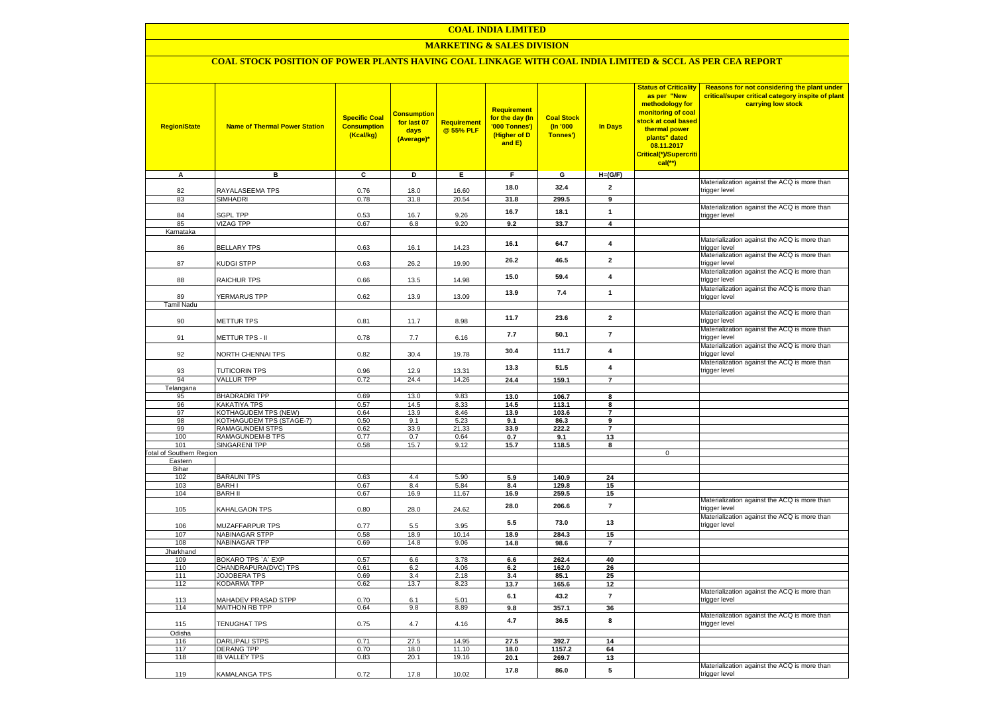### **MARKETING & SALES DIVISION**

# **COAL STOCK POSITION OF POWER PLANTS HAVING COAL LINKAGE WITH COAL INDIA LIMITED & SCCL AS PER CEA REPORT**

| <b>Region/State</b>                    | <b>Name of Thermal Power Station</b>                | <b>Specific Coal</b><br><b>Consumption</b><br>(Kcal/kg) | <b>Consumption</b><br>for last 07<br>days<br>(Average)* | Requirement<br>@ 55% PLF | Requirement<br>for the day (In<br>'000 Tonnes')<br>(Higher of D<br>and E) | <b>Coal Stock</b><br>$($ ln '000<br>Tonnes') | In Days                 | <b>Status of Criticality</b><br>as per "New<br>methodology for<br>monitoring of coal<br>stock at coal based<br>thermal power<br>plants" dated<br>08.11.2017<br>Critical(*)/Supercriti<br>$cal$ (**) | Reasons for not considering the plant under<br>critical/super critical category inspite of plant<br>carrying low stock |
|----------------------------------------|-----------------------------------------------------|---------------------------------------------------------|---------------------------------------------------------|--------------------------|---------------------------------------------------------------------------|----------------------------------------------|-------------------------|-----------------------------------------------------------------------------------------------------------------------------------------------------------------------------------------------------|------------------------------------------------------------------------------------------------------------------------|
| Α                                      | в                                                   | c                                                       | Þ                                                       | Ε                        | F                                                                         | G                                            | $H=(G/F)$               |                                                                                                                                                                                                     | Materialization against the ACQ is more than                                                                           |
| 82                                     | RAYALASEEMA TPS                                     | 0.76                                                    | 18.0                                                    | 16.60                    | 18.0                                                                      | 32.4                                         | $\mathbf{2}$            |                                                                                                                                                                                                     | trigger level                                                                                                          |
| 83                                     | <b>SIMHADRI</b>                                     | 0.78                                                    | 31.8                                                    | 20.54                    | 31.8                                                                      | 299.5                                        | 9                       |                                                                                                                                                                                                     |                                                                                                                        |
| 84                                     | SGPL TPP                                            | 0.53                                                    | 16.7                                                    | 9.26                     | 16.7                                                                      | 18.1                                         | $\mathbf{1}$            |                                                                                                                                                                                                     | Materialization against the ACQ is more than<br>trigger level                                                          |
| 85                                     | <b>VIZAG TPP</b>                                    | 0.67                                                    | 6.8                                                     | 9.20                     | 9.2                                                                       | 33.7                                         | $\overline{4}$          |                                                                                                                                                                                                     |                                                                                                                        |
| Karnataka                              |                                                     |                                                         |                                                         |                          | 16.1                                                                      | 64.7                                         | 4                       |                                                                                                                                                                                                     | Materialization against the ACQ is more than                                                                           |
| 86                                     | <b>BELLARY TPS</b>                                  | 0.63                                                    | 16.1                                                    | 14.23                    |                                                                           |                                              |                         |                                                                                                                                                                                                     | trigger level<br>Materialization against the ACQ is more than                                                          |
| 87                                     | KUDGI STPP                                          | 0.63                                                    | 26.2                                                    | 19.90                    | 26.2                                                                      | 46.5                                         | $\overline{2}$          |                                                                                                                                                                                                     | trigger level                                                                                                          |
| 88                                     | RAICHUR TPS                                         | 0.66                                                    | 13.5                                                    | 14.98                    | 15.0                                                                      | 59.4                                         | $\overline{\mathbf{4}}$ |                                                                                                                                                                                                     | Materialization against the ACQ is more than<br>trigger level                                                          |
| 89                                     | <b>YERMARUS TPP</b>                                 | 0.62                                                    | 13.9                                                    | 13.09                    | 13.9                                                                      | 7.4                                          | $\mathbf{1}$            |                                                                                                                                                                                                     | Materialization against the ACQ is more than<br>trigger level                                                          |
| <b>Tamil Nadu</b>                      |                                                     |                                                         |                                                         |                          |                                                                           |                                              |                         |                                                                                                                                                                                                     |                                                                                                                        |
| 90                                     | <b>METTUR TPS</b>                                   | 0.81                                                    | 11.7                                                    | 8.98                     | 11.7                                                                      | 23.6                                         | $\overline{2}$          |                                                                                                                                                                                                     | Materialization against the ACQ is more than<br>trigger level                                                          |
|                                        |                                                     |                                                         |                                                         |                          | 7.7                                                                       | 50.1                                         | $\overline{7}$          |                                                                                                                                                                                                     | Materialization against the ACQ is more than                                                                           |
| 91                                     | METTUR TPS - II                                     | 0.78                                                    | 7.7                                                     | 6.16                     |                                                                           |                                              | $\overline{4}$          |                                                                                                                                                                                                     | trigger level<br>Materialization against the ACQ is more than                                                          |
| 92                                     | NORTH CHENNAI TPS                                   | 0.82                                                    | 30.4                                                    | 19.78                    | 30.4                                                                      | 111.7                                        |                         |                                                                                                                                                                                                     | trigger level<br>Materialization against the ACQ is more than                                                          |
| 93                                     | <b>TUTICORIN TPS</b>                                | 0.96                                                    | 12.9                                                    | 13.31                    | 13.3                                                                      | 51.5                                         | $\overline{4}$          |                                                                                                                                                                                                     | trigger level                                                                                                          |
| 94                                     | <b>VALLUR TPP</b>                                   | 0.72                                                    | 24.4                                                    | 14.26                    | 24.4                                                                      | 159.1                                        | $\overline{7}$          |                                                                                                                                                                                                     |                                                                                                                        |
| Telangana<br>95                        | <b>BHADRADRI TPP</b>                                | 0.69                                                    | 13.0                                                    | 9.83                     | 13.0                                                                      | 106.7                                        | 8                       |                                                                                                                                                                                                     |                                                                                                                        |
| 96                                     | KAKATIYA TPS                                        | 0.57                                                    | 14.5                                                    | 8.33                     | 14.5                                                                      | 113.1                                        | 8                       |                                                                                                                                                                                                     |                                                                                                                        |
| 97                                     | KOTHAGUDEM TPS (NEW)                                | 0.64                                                    | 13.9                                                    | 8.46                     | 13.9                                                                      | 103.6                                        | $\overline{7}$          |                                                                                                                                                                                                     |                                                                                                                        |
| 98                                     | KOTHAGUDEM TPS (STAGE-7)                            | 0.50                                                    | 9.1                                                     | 5.23                     | 9.1                                                                       | 86.3                                         | 9                       |                                                                                                                                                                                                     |                                                                                                                        |
| 99                                     | <b>RAMAGUNDEM STPS</b>                              | 0.62                                                    | 33.9                                                    | 21.33                    | 33.9                                                                      | 222.2                                        | $\overline{7}$          |                                                                                                                                                                                                     |                                                                                                                        |
| 100                                    | <b>RAMAGUNDEM-B TPS</b>                             | 0.77                                                    | 0.7                                                     | 0.64                     | 0.7                                                                       | 9.1                                          | 13                      |                                                                                                                                                                                                     |                                                                                                                        |
| 101<br><b>Total of Southern Region</b> | <b>SINGARENI TPP</b>                                | 0.58                                                    | 15.7                                                    | 9.12                     | 15.7                                                                      | 118.5                                        | 8                       | $\mathbf 0$                                                                                                                                                                                         |                                                                                                                        |
| Eastern                                |                                                     |                                                         |                                                         |                          |                                                                           |                                              |                         |                                                                                                                                                                                                     |                                                                                                                        |
| Bihar                                  |                                                     |                                                         |                                                         |                          |                                                                           |                                              |                         |                                                                                                                                                                                                     |                                                                                                                        |
| 102                                    | <b>BARAUNI TPS</b>                                  | 0.63                                                    | 4.4                                                     | 5.90                     | 5.9                                                                       | 140.9                                        | 24                      |                                                                                                                                                                                                     |                                                                                                                        |
| 103                                    | <b>BARHI</b>                                        | 0.67                                                    | 8.4                                                     | 5.84                     | 8.4                                                                       | 129.8                                        | 15                      |                                                                                                                                                                                                     |                                                                                                                        |
| 104                                    | <b>BARH II</b>                                      | 0.67                                                    | 16.9                                                    | 11.67                    | 16.9                                                                      | 259.5                                        | 15                      |                                                                                                                                                                                                     |                                                                                                                        |
| 105                                    | KAHALGAON TPS                                       | 0.80                                                    | 28.0                                                    | 24.62                    | 28.0                                                                      | 206.6                                        | $\overline{7}$          |                                                                                                                                                                                                     | Materialization against the ACQ is more than<br>trigger level                                                          |
| 106                                    | MUZAFFARPUR TPS                                     | 0.77                                                    | 5.5                                                     | 3.95                     | 5.5                                                                       | 73.0                                         | 13                      |                                                                                                                                                                                                     | Materialization against the ACQ is more than<br>trigger level                                                          |
| 107                                    | <b>NABINAGAR STPP</b>                               | 0.58                                                    | 18.9                                                    | 10.14                    | 18.9                                                                      | 284.3                                        | 15                      |                                                                                                                                                                                                     |                                                                                                                        |
| 108                                    | <b>NABINAGAR TPP</b>                                | 0.69                                                    | 14.8                                                    | 9.06                     | 14.8                                                                      | 98.6                                         | $\overline{7}$          |                                                                                                                                                                                                     |                                                                                                                        |
| Jharkhand                              |                                                     |                                                         |                                                         |                          |                                                                           |                                              |                         |                                                                                                                                                                                                     |                                                                                                                        |
| 109                                    | BOKARO TPS `A` EXP                                  | 0.57                                                    | 6.6                                                     | 3.78                     | 6.6                                                                       | 262.4                                        | 40                      |                                                                                                                                                                                                     |                                                                                                                        |
| 110                                    | CHANDRAPURA(DVC) TPS                                | 0.61                                                    | 6.2                                                     | 4.06                     | 6.2                                                                       | 162.0                                        | 26                      |                                                                                                                                                                                                     |                                                                                                                        |
| 111<br>112                             | JOJOBERA TPS<br>KODARMA TPP                         | 0.69<br>0.62                                            | 3.4<br>13.7                                             | 2.18<br>8.23             | 3.4<br>13.7                                                               | 85.1                                         | 25<br>12                |                                                                                                                                                                                                     |                                                                                                                        |
|                                        |                                                     |                                                         |                                                         |                          | 6.1                                                                       | 165.6<br>43.2                                | $\overline{7}$          |                                                                                                                                                                                                     | Materialization against the ACQ is more than                                                                           |
| 113<br>114                             | <b>MAHADEV PRASAD STPP</b><br><b>MAITHON RB TPP</b> | 0.70<br>0.64                                            | 6.1<br>9.8                                              | 5.01<br>8.89             | 9.8                                                                       | 357.1                                        | 36                      |                                                                                                                                                                                                     | trigger level                                                                                                          |
|                                        |                                                     |                                                         |                                                         |                          | 4.7                                                                       | 36.5                                         | 8                       |                                                                                                                                                                                                     | Materialization against the ACQ is more than                                                                           |
| 115<br>Odisha                          | TENUGHAT TPS                                        | 0.75                                                    | 4.7                                                     | 4.16                     |                                                                           |                                              |                         |                                                                                                                                                                                                     | trigger level                                                                                                          |
| 116                                    | <b>DARLIPALI STPS</b>                               | 0.71                                                    | 27.5                                                    | 14.95                    | 27.5                                                                      | 392.7                                        | 14                      |                                                                                                                                                                                                     |                                                                                                                        |
| 117                                    | <b>DERANG TPP</b>                                   | 0.70                                                    | 18.0                                                    | 11.10                    | 18.0                                                                      | 1157.2                                       | 64                      |                                                                                                                                                                                                     |                                                                                                                        |
| 118                                    | <b>IB VALLEY TPS</b>                                | 0.83                                                    | 20.1                                                    | 19.16                    | 20.1                                                                      | 269.7                                        | 13                      |                                                                                                                                                                                                     |                                                                                                                        |
|                                        |                                                     |                                                         |                                                         |                          | 17.8                                                                      | 86.0                                         | 5                       |                                                                                                                                                                                                     | Materialization against the ACQ is more than                                                                           |
| 119                                    | KAMALANGA TPS                                       | 0.72                                                    | 17.8                                                    | 10.02                    |                                                                           |                                              |                         |                                                                                                                                                                                                     | trigger level                                                                                                          |